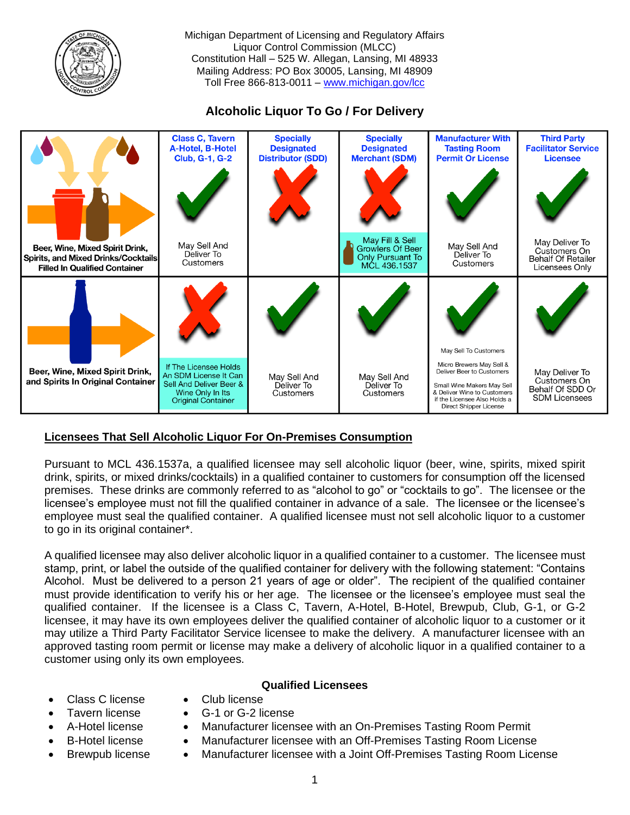

Michigan Department of Licensing and Regulatory Affairs Liquor Control Commission (MLCC) Constitution Hall – 525 W. Allegan, Lansing, MI 48933 Mailing Address: PO Box 30005, Lansing, MI 48909 Toll Free 866-813-0011 – [www.michigan.gov/lcc](http://www.michigan.gov/lcc)

**Alcoholic Liquor To Go / For Delivery**



# **Licensees That Sell Alcoholic Liquor For On-Premises Consumption**

Pursuant to MCL 436.1537a, a qualified licensee may sell alcoholic liquor (beer, wine, spirits, mixed spirit drink, spirits, or mixed drinks/cocktails) in a qualified container to customers for consumption off the licensed premises. These drinks are commonly referred to as "alcohol to go" or "cocktails to go". The licensee or the licensee's employee must not fill the qualified container in advance of a sale. The licensee or the licensee's employee must seal the qualified container. A qualified licensee must not sell alcoholic liquor to a customer to go in its original container\*.

A qualified licensee may also deliver alcoholic liquor in a qualified container to a customer. The licensee must stamp, print, or label the outside of the qualified container for delivery with the following statement: "Contains Alcohol. Must be delivered to a person 21 years of age or older". The recipient of the qualified container must provide identification to verify his or her age. The licensee or the licensee's employee must seal the qualified container. If the licensee is a Class C, Tavern, A-Hotel, B-Hotel, Brewpub, Club, G-1, or G-2 licensee, it may have its own employees deliver the qualified container of alcoholic liquor to a customer or it may utilize a Third Party Facilitator Service licensee to make the delivery. A manufacturer licensee with an approved tasting room permit or license may make a delivery of alcoholic liquor in a qualified container to a customer using only its own employees.

# **Qualified Licensees**

- Class C license Club license
	- Tavern license G-1 or G-2 license
- 
- 
- 
- 
- 
- A-Hotel license Manufacturer licensee with an On-Premises Tasting Room Permit
- B-Hotel license Manufacturer licensee with an Off-Premises Tasting Room License
- Brewpub license Manufacturer licensee with a Joint Off-Premises Tasting Room License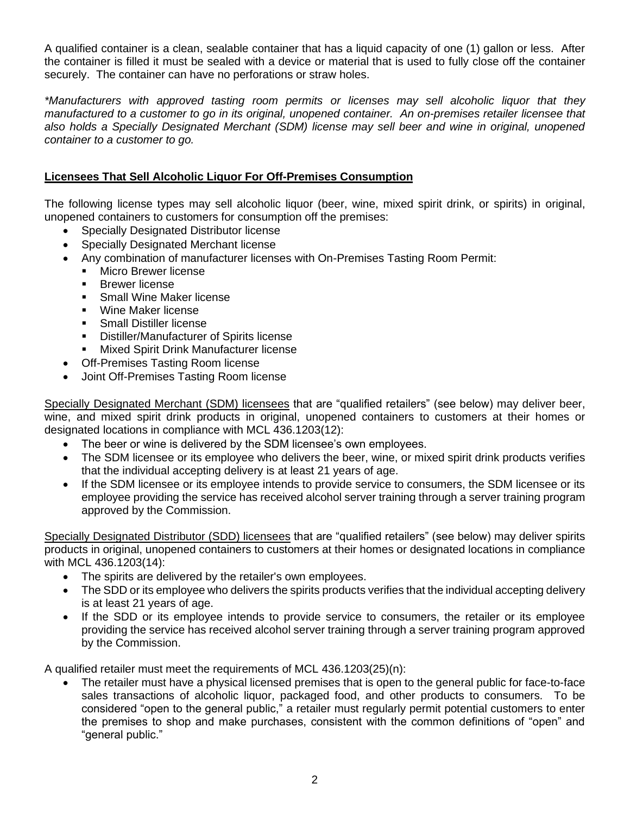A qualified container is a clean, sealable container that has a liquid capacity of one (1) gallon or less. After the container is filled it must be sealed with a device or material that is used to fully close off the container securely. The container can have no perforations or straw holes.

*\*Manufacturers with approved tasting room permits or licenses may sell alcoholic liquor that they manufactured to a customer to go in its original, unopened container. An on-premises retailer licensee that also holds a Specially Designated Merchant (SDM) license may sell beer and wine in original, unopened container to a customer to go.*

### **Licensees That Sell Alcoholic Liquor For Off-Premises Consumption**

The following license types may sell alcoholic liquor (beer, wine, mixed spirit drink, or spirits) in original, unopened containers to customers for consumption off the premises:

- Specially Designated Distributor license
- Specially Designated Merchant license
- Any combination of manufacturer licenses with On-Premises Tasting Room Permit:
	- Micro Brewer license
	- Brewer license
	- Small Wine Maker license
	- Wine Maker license
	- **•** Small Distiller license
	- Distiller/Manufacturer of Spirits license
	- Mixed Spirit Drink Manufacturer license
- Off-Premises Tasting Room license
- Joint Off-Premises Tasting Room license

Specially Designated Merchant (SDM) licensees that are "qualified retailers" (see below) may deliver beer, wine, and mixed spirit drink products in original, unopened containers to customers at their homes or designated locations in compliance with MCL 436.1203(12):

- The beer or wine is delivered by the SDM licensee's own employees.
- The SDM licensee or its employee who delivers the beer, wine, or mixed spirit drink products verifies that the individual accepting delivery is at least 21 years of age.
- If the SDM licensee or its employee intends to provide service to consumers, the SDM licensee or its employee providing the service has received alcohol server training through a server training program approved by the Commission.

Specially Designated Distributor (SDD) licensees that are "qualified retailers" (see below) may deliver spirits products in original, unopened containers to customers at their homes or designated locations in compliance with MCL 436.1203(14):

- The spirits are delivered by the retailer's own employees.
- The SDD or its employee who delivers the spirits products verifies that the individual accepting delivery is at least 21 years of age.
- If the SDD or its employee intends to provide service to consumers, the retailer or its employee providing the service has received alcohol server training through a server training program approved by the Commission.

A qualified retailer must meet the requirements of MCL 436.1203(25)(n):

• The retailer must have a physical licensed premises that is open to the general public for face-to-face sales transactions of alcoholic liquor, packaged food, and other products to consumers. To be considered "open to the general public," a retailer must regularly permit potential customers to enter the premises to shop and make purchases, consistent with the common definitions of "open" and "general public."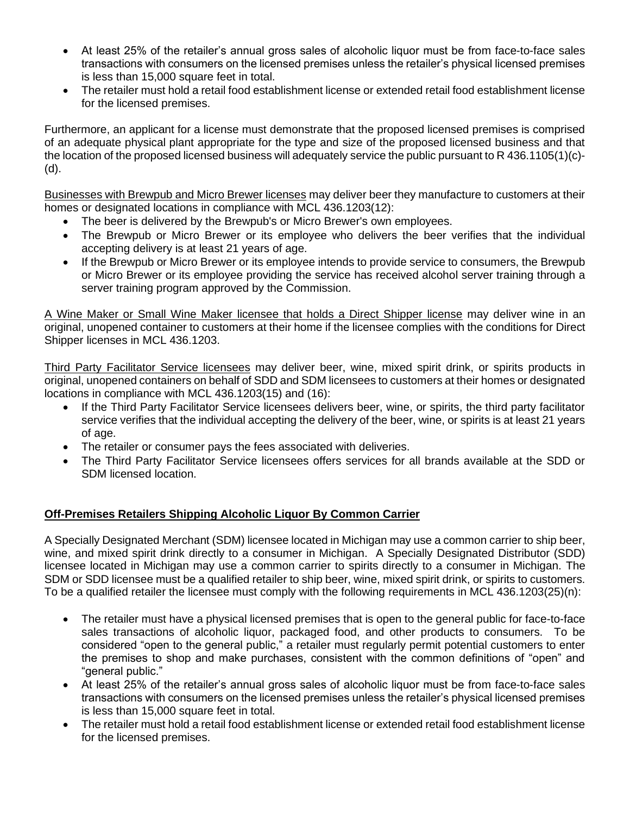- At least 25% of the retailer's annual gross sales of alcoholic liquor must be from face-to-face sales transactions with consumers on the licensed premises unless the retailer's physical licensed premises is less than 15,000 square feet in total.
- The retailer must hold a retail food establishment license or extended retail food establishment license for the licensed premises.

Furthermore, an applicant for a license must demonstrate that the proposed licensed premises is comprised of an adequate physical plant appropriate for the type and size of the proposed licensed business and that the location of the proposed licensed business will adequately service the public pursuant to R 436.1105(1)(c)- (d).

Businesses with Brewpub and Micro Brewer licenses may deliver beer they manufacture to customers at their homes or designated locations in compliance with MCL 436.1203(12):

- The beer is delivered by the Brewpub's or Micro Brewer's own employees.
- The Brewpub or Micro Brewer or its employee who delivers the beer verifies that the individual accepting delivery is at least 21 years of age.
- If the Brewpub or Micro Brewer or its employee intends to provide service to consumers, the Brewpub or Micro Brewer or its employee providing the service has received alcohol server training through a server training program approved by the Commission.

A Wine Maker or Small Wine Maker licensee that holds a Direct Shipper license may deliver wine in an original, unopened container to customers at their home if the licensee complies with the conditions for Direct Shipper licenses in MCL 436.1203.

Third Party Facilitator Service licensees may deliver beer, wine, mixed spirit drink, or spirits products in original, unopened containers on behalf of SDD and SDM licensees to customers at their homes or designated locations in compliance with MCL 436.1203(15) and (16):

- If the Third Party Facilitator Service licensees delivers beer, wine, or spirits, the third party facilitator service verifies that the individual accepting the delivery of the beer, wine, or spirits is at least 21 years of age.
- The retailer or consumer pays the fees associated with deliveries.
- The Third Party Facilitator Service licensees offers services for all brands available at the SDD or SDM licensed location.

# **Off-Premises Retailers Shipping Alcoholic Liquor By Common Carrier**

A Specially Designated Merchant (SDM) licensee located in Michigan may use a common carrier to ship beer, wine, and mixed spirit drink directly to a consumer in Michigan. A Specially Designated Distributor (SDD) licensee located in Michigan may use a common carrier to spirits directly to a consumer in Michigan. The SDM or SDD licensee must be a qualified retailer to ship beer, wine, mixed spirit drink, or spirits to customers. To be a qualified retailer the licensee must comply with the following requirements in MCL 436.1203(25)(n):

- The retailer must have a physical licensed premises that is open to the general public for face-to-face sales transactions of alcoholic liquor, packaged food, and other products to consumers. To be considered "open to the general public," a retailer must regularly permit potential customers to enter the premises to shop and make purchases, consistent with the common definitions of "open" and "general public."
- At least 25% of the retailer's annual gross sales of alcoholic liquor must be from face-to-face sales transactions with consumers on the licensed premises unless the retailer's physical licensed premises is less than 15,000 square feet in total.
- The retailer must hold a retail food establishment license or extended retail food establishment license for the licensed premises.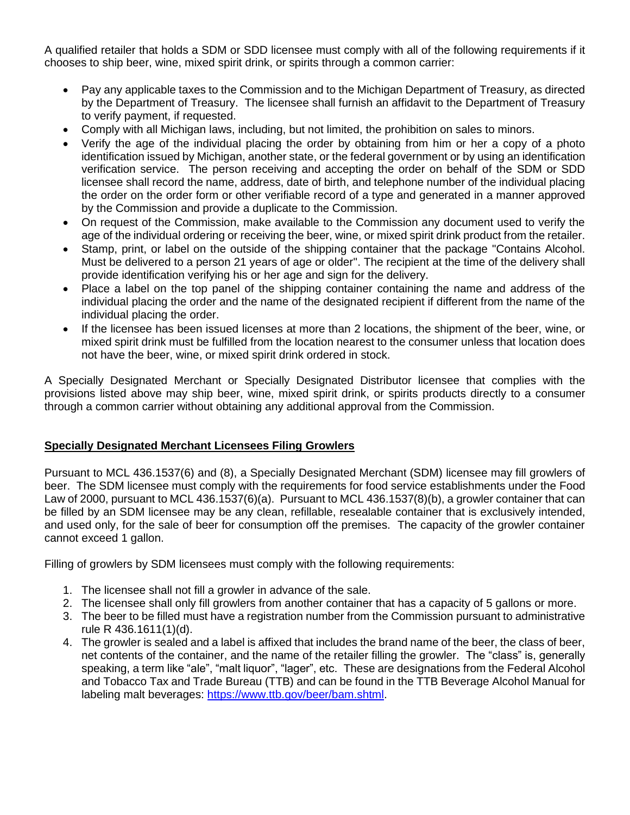A qualified retailer that holds a SDM or SDD licensee must comply with all of the following requirements if it chooses to ship beer, wine, mixed spirit drink, or spirits through a common carrier:

- Pay any applicable taxes to the Commission and to the Michigan Department of Treasury, as directed by the Department of Treasury. The licensee shall furnish an affidavit to the Department of Treasury to verify payment, if requested.
- Comply with all Michigan laws, including, but not limited, the prohibition on sales to minors.
- Verify the age of the individual placing the order by obtaining from him or her a copy of a photo identification issued by Michigan, another state, or the federal government or by using an identification verification service. The person receiving and accepting the order on behalf of the SDM or SDD licensee shall record the name, address, date of birth, and telephone number of the individual placing the order on the order form or other verifiable record of a type and generated in a manner approved by the Commission and provide a duplicate to the Commission.
- On request of the Commission, make available to the Commission any document used to verify the age of the individual ordering or receiving the beer, wine, or mixed spirit drink product from the retailer.
- Stamp, print, or label on the outside of the shipping container that the package "Contains Alcohol. Must be delivered to a person 21 years of age or older". The recipient at the time of the delivery shall provide identification verifying his or her age and sign for the delivery.
- Place a label on the top panel of the shipping container containing the name and address of the individual placing the order and the name of the designated recipient if different from the name of the individual placing the order.
- If the licensee has been issued licenses at more than 2 locations, the shipment of the beer, wine, or mixed spirit drink must be fulfilled from the location nearest to the consumer unless that location does not have the beer, wine, or mixed spirit drink ordered in stock.

A Specially Designated Merchant or Specially Designated Distributor licensee that complies with the provisions listed above may ship beer, wine, mixed spirit drink, or spirits products directly to a consumer through a common carrier without obtaining any additional approval from the Commission.

#### **Specially Designated Merchant Licensees Filing Growlers**

Pursuant to MCL 436.1537(6) and (8), a Specially Designated Merchant (SDM) licensee may fill growlers of beer. The SDM licensee must comply with the requirements for food service establishments under the Food Law of 2000, pursuant to MCL 436.1537(6)(a). Pursuant to MCL 436.1537(8)(b), a growler container that can be filled by an SDM licensee may be any clean, refillable, resealable container that is exclusively intended, and used only, for the sale of beer for consumption off the premises. The capacity of the growler container cannot exceed 1 gallon.

Filling of growlers by SDM licensees must comply with the following requirements:

- 1. The licensee shall not fill a growler in advance of the sale.
- 2. The licensee shall only fill growlers from another container that has a capacity of 5 gallons or more.
- 3. The beer to be filled must have a registration number from the Commission pursuant to administrative rule R 436.1611(1)(d).
- 4. The growler is sealed and a label is affixed that includes the brand name of the beer, the class of beer, net contents of the container, and the name of the retailer filling the growler. The "class" is, generally speaking, a term like "ale", "malt liquor", "lager", etc. These are designations from the Federal Alcohol and Tobacco Tax and Trade Bureau (TTB) and can be found in the TTB Beverage Alcohol Manual for labeling malt beverages: [https://www.ttb.gov/beer/bam.shtml.](https://www.ttb.gov/beer/bam.shtml)